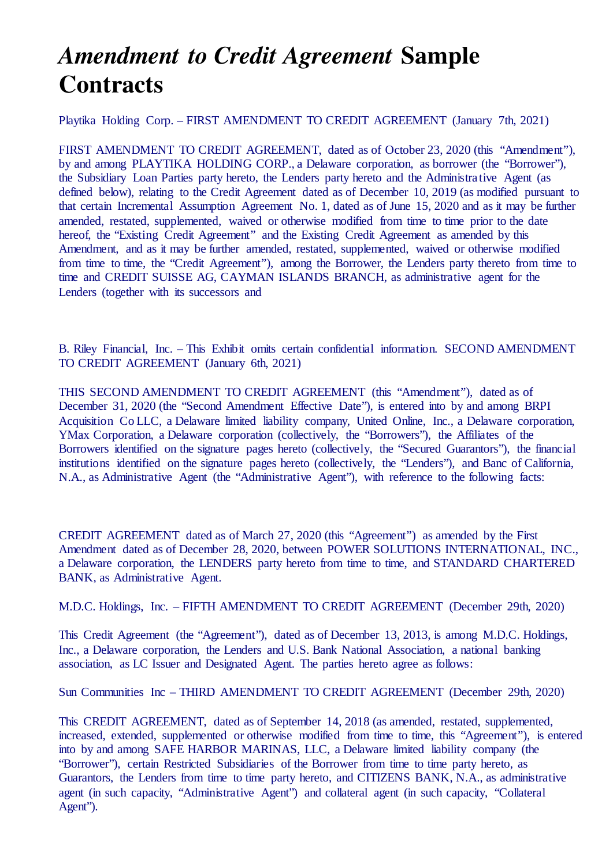## *Amendment to Credit Agreement* **Sample Contracts**

Playtika Holding Corp. – FIRST AMENDMENT TO CREDIT AGREEMENT (January 7th, 2021)

FIRST AMENDMENT TO CREDIT AGREEMENT, dated as of October 23, 2020 (this "Amendment"), by and among PLAYTIKA HOLDING CORP., a Delaware corporation, as borrower (the "Borrower"), the Subsidiary Loan Parties party hereto, the Lenders party hereto and the Administrative Agent (as defined below), relating to the Credit Agreement dated as of December 10, 2019 (as modified pursuant to that certain Incremental Assumption Agreement No. 1, dated as of June 15, 2020 and as it may be further amended, restated, supplemented, waived or otherwise modified from time to time prior to the date hereof, the "Existing Credit Agreement" and the Existing Credit Agreement as amended by this Amendment, and as it may be further amended, restated, supplemented, waived or otherwise modified from time to time, the "Credit Agreement"), among the Borrower, the Lenders party thereto from time to time and CREDIT SUISSE AG, CAYMAN ISLANDS BRANCH, as administrative agent for the Lenders (together with its successors and

B. Riley Financial, Inc. – This Exhibit omits certain confidential information. SECOND AMENDMENT TO CREDIT AGREEMENT (January 6th, 2021)

THIS SECOND AMENDMENT TO CREDIT AGREEMENT (this "Amendment"), dated as of December 31, 2020 (the "Second Amendment Effective Date"), is entered into by and among BRPI Acquisition Co LLC, a Delaware limited liability company, United Online, Inc., a Delaware corporation, YMax Corporation, a Delaware corporation (collectively, the "Borrowers"), the Affiliates of the Borrowers identified on the signature pages hereto (collectively, the "Secured Guarantors"), the financial institutions identified on the signature pages hereto (collectively, the "Lenders"), and Banc of California, N.A., as Administrative Agent (the "Administrative Agent"), with reference to the following facts:

CREDIT AGREEMENT dated as of March 27, 2020 (this "Agreement") as amended by the First Amendment dated as of December 28, 2020, between POWER SOLUTIONS INTERNATIONAL, INC., a Delaware corporation, the LENDERS party hereto from time to time, and STANDARD CHARTERED BANK, as Administrative Agent.

M.D.C. Holdings, Inc. – FIFTH AMENDMENT TO CREDIT AGREEMENT (December 29th, 2020)

This Credit Agreement (the "Agreement"), dated as of December 13, 2013, is among M.D.C. Holdings, Inc., a Delaware corporation, the Lenders and U.S. Bank National Association, a national banking association, as LC Issuer and Designated Agent. The parties hereto agree as follows:

Sun Communities Inc – THIRD AMENDMENT TO CREDIT AGREEMENT (December 29th, 2020)

This CREDIT AGREEMENT, dated as of September 14, 2018 (as amended, restated, supplemented, increased, extended, supplemented or otherwise modified from time to time, this "Agreement"), is entered into by and among SAFE HARBOR MARINAS, LLC, a Delaware limited liability company (the "Borrower"), certain Restricted Subsidiaries of the Borrower from time to time party hereto, as Guarantors, the Lenders from time to time party hereto, and CITIZENS BANK, N.A., as administrative agent (in such capacity, "Administrative Agent") and collateral agent (in such capacity, "Collateral Agent").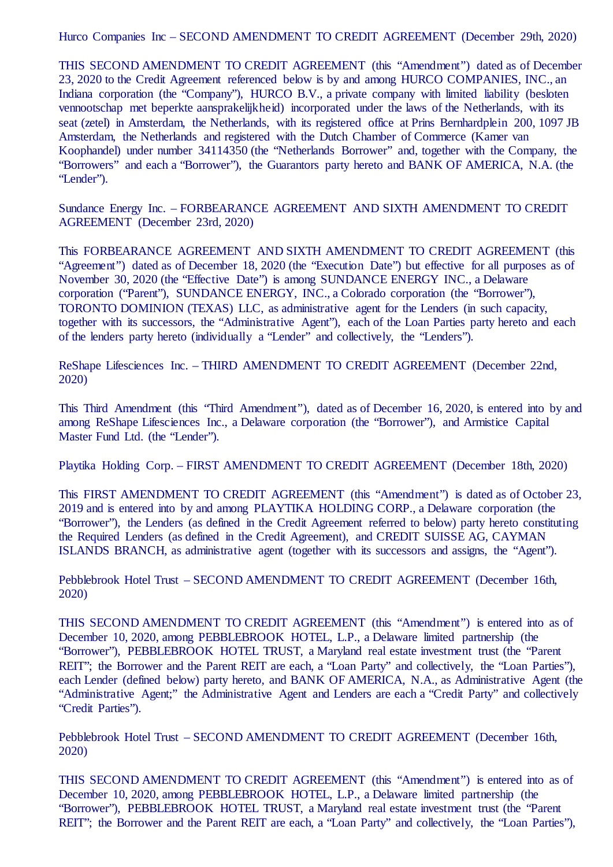Hurco Companies Inc – SECOND AMENDMENT TO CREDIT AGREEMENT (December 29th, 2020)

THIS SECOND AMENDMENT TO CREDIT AGREEMENT (this "Amendment") dated as of December 23, 2020 to the Credit Agreement referenced below is by and among HURCO COMPANIES, INC., an Indiana corporation (the "Company"), HURCO B.V., a private company with limited liability (besloten vennootschap met beperkte aansprakelijkheid) incorporated under the laws of the Netherlands, with its seat (zetel) in Amsterdam, the Netherlands, with its registered office at Prins Bernhardplein 200, 1097 JB Amsterdam, the Netherlands and registered with the Dutch Chamber of Commerce (Kamer van Koophandel) under number 34114350 (the "Netherlands Borrower" and, together with the Company, the "Borrowers" and each a "Borrower"), the Guarantors party hereto and BANK OF AMERICA, N.A. (the "Lender").

Sundance Energy Inc. – FORBEARANCE AGREEMENT AND SIXTH AMENDMENT TO CREDIT AGREEMENT (December 23rd, 2020)

This FORBEARANCE AGREEMENT AND SIXTH AMENDMENT TO CREDIT AGREEMENT (this "Agreement") dated as of December 18, 2020 (the "Execution Date") but effective for all purposes as of November 30, 2020 (the "Effective Date") is among SUNDANCE ENERGY INC., a Delaware corporation ("Parent"), SUNDANCE ENERGY, INC., a Colorado corporation (the "Borrower"), TORONTO DOMINION (TEXAS) LLC, as administrative agent for the Lenders (in such capacity, together with its successors, the "Administrative Agent"), each of the Loan Parties party hereto and each of the lenders party hereto (individually a "Lender" and collectively, the "Lenders").

ReShape Lifesciences Inc. – THIRD AMENDMENT TO CREDIT AGREEMENT (December 22nd, 2020)

This Third Amendment (this "Third Amendment"), dated as of December 16, 2020, is entered into by and among ReShape Lifesciences Inc., a Delaware corporation (the "Borrower"), and Armistice Capital Master Fund Ltd. (the "Lender").

Playtika Holding Corp. – FIRST AMENDMENT TO CREDIT AGREEMENT (December 18th, 2020)

This FIRST AMENDMENT TO CREDIT AGREEMENT (this "Amendment") is dated as of October 23, 2019 and is entered into by and among PLAYTIKA HOLDING CORP., a Delaware corporation (the "Borrower"), the Lenders (as defined in the Credit Agreement referred to below) party hereto constituting the Required Lenders (as defined in the Credit Agreement), and CREDIT SUISSE AG, CAYMAN ISLANDS BRANCH, as administrative agent (together with its successors and assigns, the "Agent").

Pebblebrook Hotel Trust – SECOND AMENDMENT TO CREDIT AGREEMENT (December 16th, 2020)

THIS SECOND AMENDMENT TO CREDIT AGREEMENT (this "Amendment") is entered into as of December 10, 2020, among PEBBLEBROOK HOTEL, L.P., a Delaware limited partnership (the "Borrower"), PEBBLEBROOK HOTEL TRUST, a Maryland real estate investment trust (the "Parent REIT"; the Borrower and the Parent REIT are each, a "Loan Party" and collectively, the "Loan Parties"), each Lender (defined below) party hereto, and BANK OF AMERICA, N.A., as Administrative Agent (the "Administrative Agent;" the Administrative Agent and Lenders are each a "Credit Party" and collectively "Credit Parties").

Pebblebrook Hotel Trust – SECOND AMENDMENT TO CREDIT AGREEMENT (December 16th, 2020)

THIS SECOND AMENDMENT TO CREDIT AGREEMENT (this "Amendment") is entered into as of December 10, 2020, among PEBBLEBROOK HOTEL, L.P., a Delaware limited partnership (the "Borrower"), PEBBLEBROOK HOTEL TRUST, a Maryland real estate investment trust (the "Parent REIT"; the Borrower and the Parent REIT are each, a "Loan Party" and collectively, the "Loan Parties"),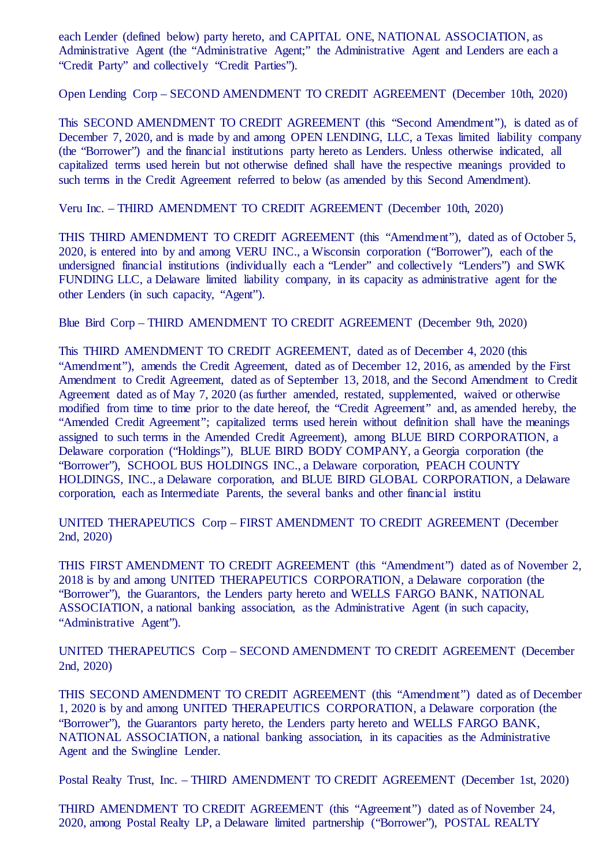each Lender (defined below) party hereto, and CAPITAL ONE, NATIONAL ASSOCIATION, as Administrative Agent (the "Administrative Agent;" the Administrative Agent and Lenders are each a "Credit Party" and collectively "Credit Parties").

Open Lending Corp – SECOND AMENDMENT TO CREDIT AGREEMENT (December 10th, 2020)

This SECOND AMENDMENT TO CREDIT AGREEMENT (this "Second Amendment"), is dated as of December 7, 2020, and is made by and among OPEN LENDING, LLC, a Texas limited liability company (the "Borrower") and the financial institutions party hereto as Lenders. Unless otherwise indicated, all capitalized terms used herein but not otherwise defined shall have the respective meanings provided to such terms in the Credit Agreement referred to below (as amended by this Second Amendment).

Veru Inc. – THIRD AMENDMENT TO CREDIT AGREEMENT (December 10th, 2020)

THIS THIRD AMENDMENT TO CREDIT AGREEMENT (this "Amendment"), dated as of October 5, 2020, is entered into by and among VERU INC., a Wisconsin corporation ("Borrower"), each of the undersigned financial institutions (individually each a "Lender" and collectively "Lenders") and SWK FUNDING LLC, a Delaware limited liability company, in its capacity as administrative agent for the other Lenders (in such capacity, "Agent").

Blue Bird Corp – THIRD AMENDMENT TO CREDIT AGREEMENT (December 9th, 2020)

This THIRD AMENDMENT TO CREDIT AGREEMENT, dated as of December 4, 2020 (this "Amendment"), amends the Credit Agreement, dated as of December 12, 2016, as amended by the First Amendment to Credit Agreement, dated as of September 13, 2018, and the Second Amendment to Credit Agreement dated as of May 7, 2020 (as further amended, restated, supplemented, waived or otherwise modified from time to time prior to the date hereof, the "Credit Agreement" and, as amended hereby, the "Amended Credit Agreement"; capitalized terms used herein without definition shall have the meanings assigned to such terms in the Amended Credit Agreement), among BLUE BIRD CORPORATION, a Delaware corporation ("Holdings"), BLUE BIRD BODY COMPANY, a Georgia corporation (the "Borrower"), SCHOOL BUS HOLDINGS INC., a Delaware corporation, PEACH COUNTY HOLDINGS, INC., a Delaware corporation, and BLUE BIRD GLOBAL CORPORATION, a Delaware corporation, each as Intermediate Parents, the several banks and other financial institu

UNITED THERAPEUTICS Corp – FIRST AMENDMENT TO CREDIT AGREEMENT (December 2nd, 2020)

THIS FIRST AMENDMENT TO CREDIT AGREEMENT (this "Amendment") dated as of November 2, 2018 is by and among UNITED THERAPEUTICS CORPORATION, a Delaware corporation (the "Borrower"), the Guarantors, the Lenders party hereto and WELLS FARGO BANK, NATIONAL ASSOCIATION, a national banking association, as the Administrative Agent (in such capacity, "Administrative Agent").

UNITED THERAPEUTICS Corp – SECOND AMENDMENT TO CREDIT AGREEMENT (December 2nd, 2020)

THIS SECOND AMENDMENT TO CREDIT AGREEMENT (this "Amendment") dated as of December 1, 2020 is by and among UNITED THERAPEUTICS CORPORATION, a Delaware corporation (the "Borrower"), the Guarantors party hereto, the Lenders party hereto and WELLS FARGO BANK, NATIONAL ASSOCIATION, a national banking association, in its capacities as the Administrative Agent and the Swingline Lender.

Postal Realty Trust, Inc. – THIRD AMENDMENT TO CREDIT AGREEMENT (December 1st, 2020)

THIRD AMENDMENT TO CREDIT AGREEMENT (this "Agreement") dated as of November 24, 2020, among Postal Realty LP, a Delaware limited partnership ("Borrower"), POSTAL REALTY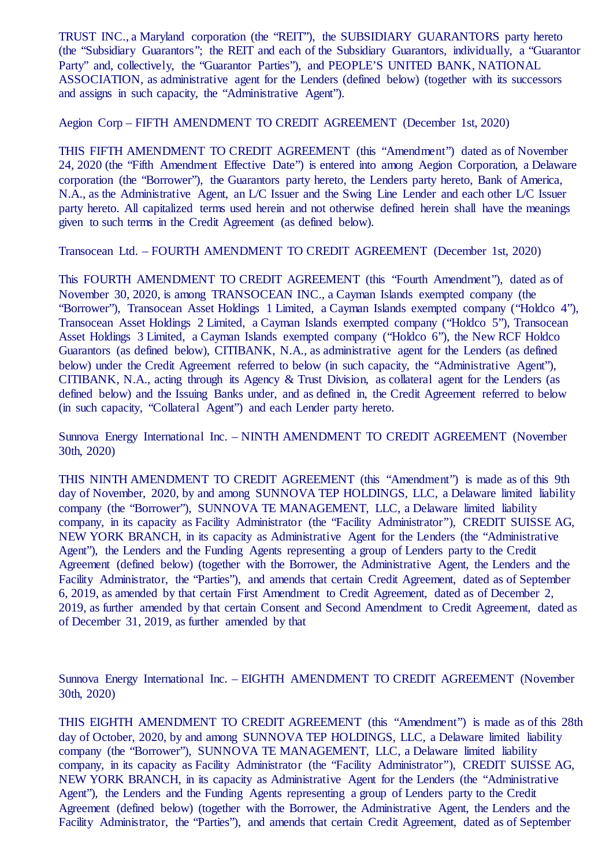TRUST INC., a Maryland corporation (the "REIT"), the SUBSIDIARY GUARANTORS party hereto (the "Subsidiary Guarantors"; the REIT and each of the Subsidiary Guarantors, individually, a "Guarantor Party" and, collectively, the "Guarantor Parties"), and PEOPLE'S UNITED BANK, NATIONAL ASSOCIATION, as administrative agent for the Lenders (defined below) (together with its successors and assigns in such capacity, the "Administrative Agent").

Aegion Corp – FIFTH AMENDMENT TO CREDIT AGREEMENT (December 1st, 2020)

THIS FIFTH AMENDMENT TO CREDIT AGREEMENT (this "Amendment") dated as of November 24, 2020 (the "Fifth Amendment Effective Date") is entered into among Aegion Corporation, a Delaware corporation (the "Borrower"), the Guarantors party hereto, the Lenders party hereto, Bank of America, N.A., as the Administrative Agent, an L/C Issuer and the Swing Line Lender and each other L/C Issuer party hereto. All capitalized terms used herein and not otherwise defined herein shall have the meanings given to such terms in the Credit Agreement (as defined below).

Transocean Ltd. – FOURTH AMENDMENT TO CREDIT AGREEMENT (December 1st, 2020)

This FOURTH AMENDMENT TO CREDIT AGREEMENT (this "Fourth Amendment"), dated as of November 30, 2020, is among TRANSOCEAN INC., a Cayman Islands exempted company (the "Borrower"), Transocean Asset Holdings 1 Limited, a Cayman Islands exempted company ("Holdco 4"), Transocean Asset Holdings 2 Limited, a Cayman Islands exempted company ("Holdco 5"), Transocean Asset Holdings 3 Limited, a Cayman Islands exempted company ("Holdco 6"), the New RCF Holdco Guarantors (as defined below), CITIBANK, N.A., as administrative agent for the Lenders (as defined below) under the Credit Agreement referred to below (in such capacity, the "Administrative Agent"), CITIBANK, N.A., acting through its Agency & Trust Division, as collateral agent for the Lenders (as defined below) and the Issuing Banks under, and as defined in, the Credit Agreement referred to below (in such capacity, "Collateral Agent") and each Lender party hereto.

Sunnova Energy International Inc. – NINTH AMENDMENT TO CREDIT AGREEMENT (November 30th, 2020)

THIS NINTH AMENDMENT TO CREDIT AGREEMENT (this "Amendment") is made as of this 9th day of November, 2020, by and among SUNNOVA TEP HOLDINGS, LLC, a Delaware limited liability company (the "Borrower"), SUNNOVA TE MANAGEMENT, LLC, a Delaware limited liability company, in its capacity as Facility Administrator (the "Facility Administrator"), CREDIT SUISSE AG, NEW YORK BRANCH, in its capacity as Administrative Agent for the Lenders (the "Administrative Agent"), the Lenders and the Funding Agents representing a group of Lenders party to the Credit Agreement (defined below) (together with the Borrower, the Administrative Agent, the Lenders and the Facility Administrator, the "Parties"), and amends that certain Credit Agreement, dated as of September 6, 2019, as amended by that certain First Amendment to Credit Agreement, dated as of December 2, 2019, as further amended by that certain Consent and Second Amendment to Credit Agreement, dated as of December 31, 2019, as further amended by that

Sunnova Energy International Inc. – EIGHTH AMENDMENT TO CREDIT AGREEMENT (November 30th, 2020)

THIS EIGHTH AMENDMENT TO CREDIT AGREEMENT (this "Amendment") is made as of this 28th day of October, 2020, by and among SUNNOVA TEP HOLDINGS, LLC, a Delaware limited liability company (the "Borrower"), SUNNOVA TE MANAGEMENT, LLC, a Delaware limited liability company, in its capacity as Facility Administrator (the "Facility Administrator"), CREDIT SUISSE AG, NEW YORK BRANCH, in its capacity as Administrative Agent for the Lenders (the "Administrative Agent"), the Lenders and the Funding Agents representing a group of Lenders party to the Credit Agreement (defined below) (together with the Borrower, the Administrative Agent, the Lenders and the Facility Administrator, the "Parties"), and amends that certain Credit Agreement, dated as of September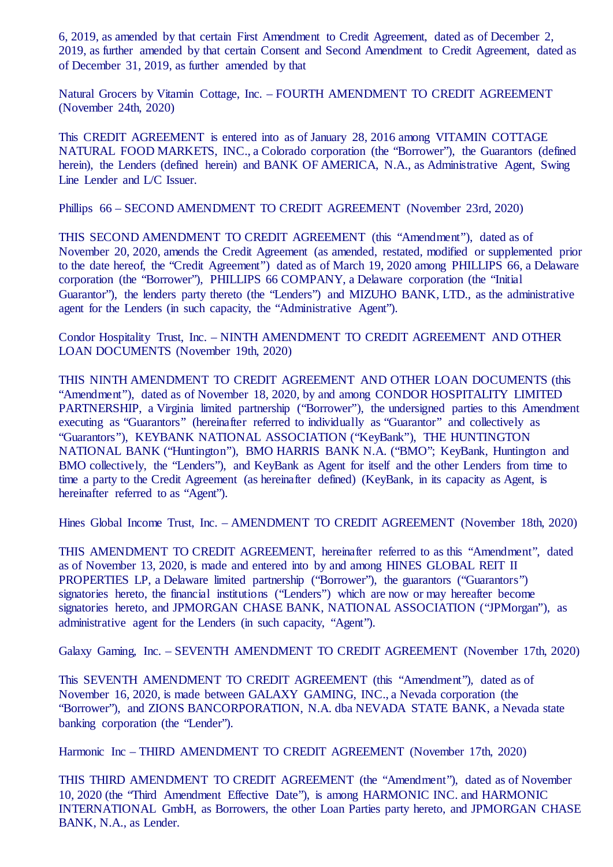6, 2019, as amended by that certain First Amendment to Credit Agreement, dated as of December 2, 2019, as further amended by that certain Consent and Second Amendment to Credit Agreement, dated as of December 31, 2019, as further amended by that

Natural Grocers by Vitamin Cottage, Inc. – FOURTH AMENDMENT TO CREDIT AGREEMENT (November 24th, 2020)

This CREDIT AGREEMENT is entered into as of January 28, 2016 among VITAMIN COTTAGE NATURAL FOOD MARKETS, INC., a Colorado corporation (the "Borrower"), the Guarantors (defined herein), the Lenders (defined herein) and BANK OF AMERICA, N.A., as Administrative Agent, Swing Line Lender and L/C Issuer.

Phillips 66 – SECOND AMENDMENT TO CREDIT AGREEMENT (November 23rd, 2020)

THIS SECOND AMENDMENT TO CREDIT AGREEMENT (this "Amendment"), dated as of November 20, 2020, amends the Credit Agreement (as amended, restated, modified or supplemented prior to the date hereof, the "Credit Agreement") dated as of March 19, 2020 among PHILLIPS 66, a Delaware corporation (the "Borrower"), PHILLIPS 66 COMPANY, a Delaware corporation (the "Initial Guarantor"), the lenders party thereto (the "Lenders") and MIZUHO BANK, LTD., as the administrative agent for the Lenders (in such capacity, the "Administrative Agent").

Condor Hospitality Trust, Inc. – NINTH AMENDMENT TO CREDIT AGREEMENT AND OTHER LOAN DOCUMENTS (November 19th, 2020)

THIS NINTH AMENDMENT TO CREDIT AGREEMENT AND OTHER LOAN DOCUMENTS (this "Amendment"), dated as of November 18, 2020, by and among CONDOR HOSPITALITY LIMITED PARTNERSHIP, a Virginia limited partnership ("Borrower"), the undersigned parties to this Amendment executing as "Guarantors" (hereinafter referred to individually as "Guarantor" and collectively as "Guarantors"), KEYBANK NATIONAL ASSOCIATION ("KeyBank"), THE HUNTINGTON NATIONAL BANK ("Huntington"), BMO HARRIS BANK N.A. ("BMO"; KeyBank, Huntington and BMO collectively, the "Lenders"), and KeyBank as Agent for itself and the other Lenders from time to time a party to the Credit Agreement (as hereinafter defined) (KeyBank, in its capacity as Agent, is hereinafter referred to as "Agent").

Hines Global Income Trust, Inc. – AMENDMENT TO CREDIT AGREEMENT (November 18th, 2020)

THIS AMENDMENT TO CREDIT AGREEMENT, hereinafter referred to as this "Amendment", dated as of November 13, 2020, is made and entered into by and among HINES GLOBAL REIT II PROPERTIES LP, a Delaware limited partnership ("Borrower"), the guarantors ("Guarantors") signatories hereto, the financial institutions ("Lenders") which are now or may hereafter become signatories hereto, and JPMORGAN CHASE BANK, NATIONAL ASSOCIATION ("JPMorgan"), as administrative agent for the Lenders (in such capacity, "Agent").

Galaxy Gaming, Inc. – SEVENTH AMENDMENT TO CREDIT AGREEMENT (November 17th, 2020)

This SEVENTH AMENDMENT TO CREDIT AGREEMENT (this "Amendment"), dated as of November 16, 2020, is made between GALAXY GAMING, INC., a Nevada corporation (the "Borrower"), and ZIONS BANCORPORATION, N.A. dba NEVADA STATE BANK, a Nevada state banking corporation (the "Lender").

Harmonic Inc – THIRD AMENDMENT TO CREDIT AGREEMENT (November 17th, 2020)

THIS THIRD AMENDMENT TO CREDIT AGREEMENT (the "Amendment"), dated as of November 10, 2020 (the "Third Amendment Effective Date"), is among HARMONIC INC. and HARMONIC INTERNATIONAL GmbH, as Borrowers, the other Loan Parties party hereto, and JPMORGAN CHASE BANK, N.A., as Lender.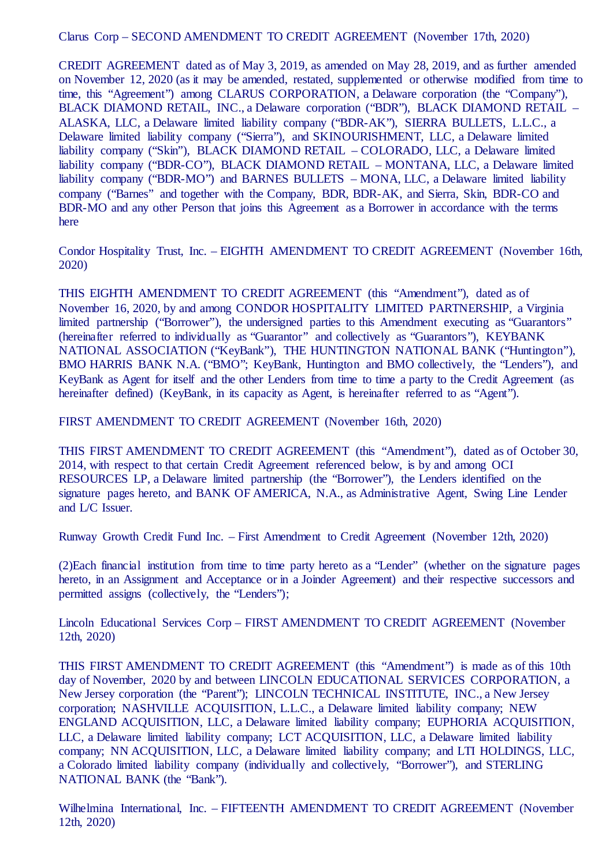Clarus Corp – SECOND AMENDMENT TO CREDIT AGREEMENT (November 17th, 2020)

CREDIT AGREEMENT dated as of May 3, 2019, as amended on May 28, 2019, and as further amended on November 12, 2020 (as it may be amended, restated, supplemented or otherwise modified from time to time, this "Agreement") among CLARUS CORPORATION, a Delaware corporation (the "Company"), BLACK DIAMOND RETAIL, INC., a Delaware corporation ("BDR"), BLACK DIAMOND RETAIL – ALASKA, LLC, a Delaware limited liability company ("BDR-AK"), SIERRA BULLETS, L.L.C., a Delaware limited liability company ("Sierra"), and SKINOURISHMENT, LLC, a Delaware limited liability company ("Skin"), BLACK DIAMOND RETAIL – COLORADO, LLC, a Delaware limited liability company ("BDR-CO"), BLACK DIAMOND RETAIL – MONTANA, LLC, a Delaware limited liability company ("BDR-MO") and BARNES BULLETS – MONA, LLC, a Delaware limited liability company ("Barnes" and together with the Company, BDR, BDR-AK, and Sierra, Skin, BDR-CO and BDR-MO and any other Person that joins this Agreement as a Borrower in accordance with the terms here

Condor Hospitality Trust, Inc. – EIGHTH AMENDMENT TO CREDIT AGREEMENT (November 16th, 2020)

THIS EIGHTH AMENDMENT TO CREDIT AGREEMENT (this "Amendment"), dated as of November 16, 2020, by and among CONDOR HOSPITALITY LIMITED PARTNERSHIP, a Virginia limited partnership ("Borrower"), the undersigned parties to this Amendment executing as "Guarantors" (hereinafter referred to individually as "Guarantor" and collectively as "Guarantors"), KEYBANK NATIONAL ASSOCIATION ("KeyBank"), THE HUNTINGTON NATIONAL BANK ("Huntington"), BMO HARRIS BANK N.A. ("BMO"; KeyBank, Huntington and BMO collectively, the "Lenders"), and KeyBank as Agent for itself and the other Lenders from time to time a party to the Credit Agreement (as hereinafter defined) (KeyBank, in its capacity as Agent, is hereinafter referred to as "Agent").

FIRST AMENDMENT TO CREDIT AGREEMENT (November 16th, 2020)

THIS FIRST AMENDMENT TO CREDIT AGREEMENT (this "Amendment"), dated as of October 30, 2014, with respect to that certain Credit Agreement referenced below, is by and among OCI RESOURCES LP, a Delaware limited partnership (the "Borrower"), the Lenders identified on the signature pages hereto, and BANK OF AMERICA, N.A., as Administrative Agent, Swing Line Lender and L/C Issuer.

Runway Growth Credit Fund Inc. – First Amendment to Credit Agreement (November 12th, 2020)

(2)Each financial institution from time to time party hereto as a "Lender" (whether on the signature pages hereto, in an Assignment and Acceptance or in a Joinder Agreement) and their respective successors and permitted assigns (collectively, the "Lenders");

Lincoln Educational Services Corp – FIRST AMENDMENT TO CREDIT AGREEMENT (November 12th, 2020)

THIS FIRST AMENDMENT TO CREDIT AGREEMENT (this "Amendment") is made as of this 10th day of November, 2020 by and between LINCOLN EDUCATIONAL SERVICES CORPORATION, a New Jersey corporation (the "Parent"); LINCOLN TECHNICAL INSTITUTE, INC., a New Jersey corporation; NASHVILLE ACQUISITION, L.L.C., a Delaware limited liability company; NEW ENGLAND ACQUISITION, LLC, a Delaware limited liability company; EUPHORIA ACQUISITION, LLC, a Delaware limited liability company; LCT ACQUISITION, LLC, a Delaware limited liability company; NN ACQUISITION, LLC, a Delaware limited liability company; and LTI HOLDINGS, LLC, a Colorado limited liability company (individually and collectively, "Borrower"), and STERLING NATIONAL BANK (the "Bank").

Wilhelmina International, Inc. – FIFTEENTH AMENDMENT TO CREDIT AGREEMENT (November 12th, 2020)